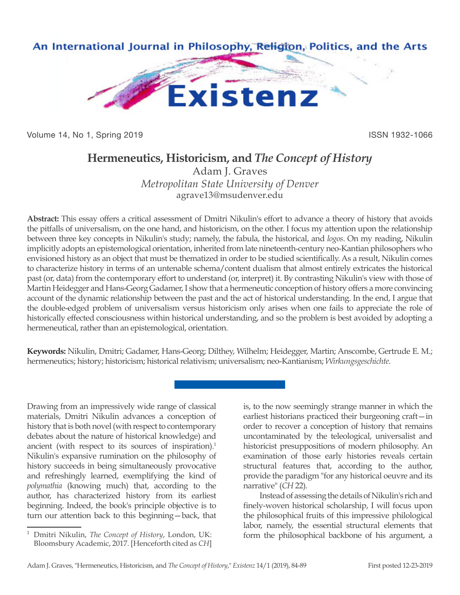

Volume 14, No 1, Spring 2019 **ISSN 1932-1066** 

## **Hermeneutics, Historicism, and** *The Concept of History*

Adam J. Graves *Metropolitan State University of Denver* agrave13@msudenver.edu

**Abstract:** This essay offers a critical assessment of Dmitri Nikulin's effort to advance a theory of history that avoids the pitfalls of universalism, on the one hand, and historicism, on the other. I focus my attention upon the relationship between three key concepts in Nikulin's study; namely, the fabula, the historical, and *logos*. On my reading, Nikulin implicitly adopts an epistemological orientation, inherited from late nineteenth-century neo-Kantian philosophers who envisioned history as an object that must be thematized in order to be studied scientifically. As a result, Nikulin comes to characterize history in terms of an untenable schema/content dualism that almost entirely extricates the historical past (or, data) from the contemporary effort to understand (or, interpret) it. By contrasting Nikulin's view with those of Martin Heidegger and Hans-Georg Gadamer, I show that a hermeneutic conception of history offers a more convincing account of the dynamic relationship between the past and the act of historical understanding. In the end, I argue that the double-edged problem of universalism versus historicism only arises when one fails to appreciate the role of historically effected consciousness within historical understanding, and so the problem is best avoided by adopting a hermeneutical, rather than an epistemological, orientation.

**Keywords:** Nikulin, Dmitri; Gadamer, Hans-Georg; Dilthey, Wilhelm; Heidegger, Martin; Anscombe, Gertrude E. M.; hermeneutics; history; historicism; historical relativism; universalism; neo-Kantianism; *Wirkungsgeschichte*.

Drawing from an impressively wide range of classical materials, Dmitri Nikulin advances a conception of history that is both novel (with respect to contemporary debates about the nature of historical knowledge) and ancient (with respect to its sources of inspiration).<sup>1</sup> Nikulin's expansive rumination on the philosophy of history succeeds in being simultaneously provocative and refreshingly learned, exemplifying the kind of *polymathia* (knowing much) that, according to the author, has characterized history from its earliest beginning. Indeed, the book's principle objective is to turn our attention back to this beginning—back, that

is, to the now seemingly strange manner in which the earliest historians practiced their burgeoning craft—in order to recover a conception of history that remains uncontaminated by the teleological, universalist and historicist presuppositions of modern philosophy. An examination of those early histories reveals certain structural features that, according to the author, provide the paradigm "for any historical oeuvre and its narrative" (*CH* 22).

Instead of assessing the details of Nikulin's rich and finely-woven historical scholarship, I will focus upon the philosophical fruits of this impressive philological labor, namely, the essential structural elements that form the philosophical backbone of his argument, a

<sup>1</sup> Dmitri Nikulin, *The Concept of History*, London, UK: Bloomsbury Academic, 2017. [Henceforth cited as *CH*]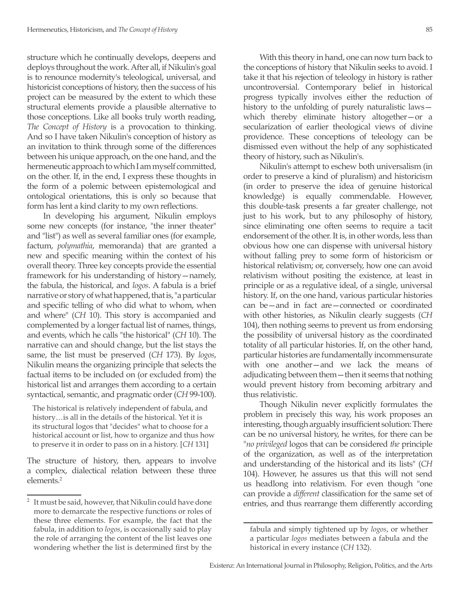structure which he continually develops, deepens and deploys throughout the work. After all, if Nikulin's goal is to renounce modernity's teleological, universal, and historicist conceptions of history, then the success of his project can be measured by the extent to which these structural elements provide a plausible alternative to those conceptions. Like all books truly worth reading, *The Concept of History* is a provocation to thinking. And so I have taken Nikulin's conception of history as an invitation to think through some of the differences between his unique approach, on the one hand, and the hermeneutic approach to which I am myself committed, on the other. If, in the end, I express these thoughts in the form of a polemic between epistemological and ontological orientations, this is only so because that form has lent a kind clarity to my own reflections.

In developing his argument, Nikulin employs some new concepts (for instance, "the inner theater" and "list") as well as several familiar ones (for example, factum, *polymathia*, memoranda) that are granted a new and specific meaning within the context of his overall theory. Three key concepts provide the essential framework for his understanding of history—namely, the fabula, the historical, and *logos*. A fabula is a brief narrative or story of what happened, that is, "a particular and specific telling of who did what to whom, when and where" (*CH* 10). This story is accompanied and complemented by a longer factual list of names, things, and events, which he calls "the historical" (*CH* 10). The narrative can and should change, but the list stays the same, the list must be preserved (*CH* 173). By *logos*, Nikulin means the organizing principle that selects the factual items to be included on (or excluded from) the historical list and arranges them according to a certain syntactical, semantic, and pragmatic order (*CH* 99-100).

The historical is relatively independent of fabula, and history…is all in the details of the historical. Yet it is its structural logos that "decides" what to choose for a historical account or list, how to organize and thus how to preserve it in order to pass on in a history. [*CH* 131]

The structure of history, then, appears to involve a complex, dialectical relation between these three elements.<sup>2</sup>

With this theory in hand, one can now turn back to the conceptions of history that Nikulin seeks to avoid. I take it that his rejection of teleology in history is rather uncontroversial. Contemporary belief in historical progress typically involves either the reduction of history to the unfolding of purely naturalistic laws which thereby eliminate history altogether—or a secularization of earlier theological views of divine providence. These conceptions of teleology can be dismissed even without the help of any sophisticated theory of history, such as Nikulin's.

Nikulin's attempt to eschew both universalism (in order to preserve a kind of pluralism) and historicism (in order to preserve the idea of genuine historical knowledge) is equally commendable. However, this double-task presents a far greater challenge, not just to his work, but to any philosophy of history, since eliminating one often seems to require a tacit endorsement of the other. It is, in other words, less than obvious how one can dispense with universal history without falling prey to some form of historicism or historical relativism; or, conversely, how one can avoid relativism without positing the existence, at least in principle or as a regulative ideal, of a single, universal history. If, on the one hand, various particular histories can be—and in fact are—connected or coordinated with other histories, as Nikulin clearly suggests (*CH* 104), then nothing seems to prevent us from endorsing the possibility of universal history as the coordinated totality of all particular histories. If, on the other hand, particular histories are fundamentally incommensurate with one another—and we lack the means of adjudicating between them—then it seems that nothing would prevent history from becoming arbitrary and thus relativistic.

Though Nikulin never explicitly formulates the problem in precisely this way, his work proposes an interesting, though arguably insufficient solution: There can be no universal history, he writes, for there can be "*no privileged* logos that can be considered *the* principle of the organization, as well as of the interpretation and understanding of the historical and its lists" (*CH*  104). However, he assures us that this will not send us headlong into relativism. For even though "one can provide a *different* classification for the same set of entries, and thus rearrange them differently according

<sup>&</sup>lt;sup>2</sup> It must be said, however, that Nikulin could have done more to demarcate the respective functions or roles of these three elements. For example, the fact that the fabula, in addition to *logos*, is occasionally said to play the role of arranging the content of the list leaves one wondering whether the list is determined first by the

fabula and simply tightened up by *logos*, or whether a particular *logos* mediates between a fabula and the historical in every instance (*CH* 132).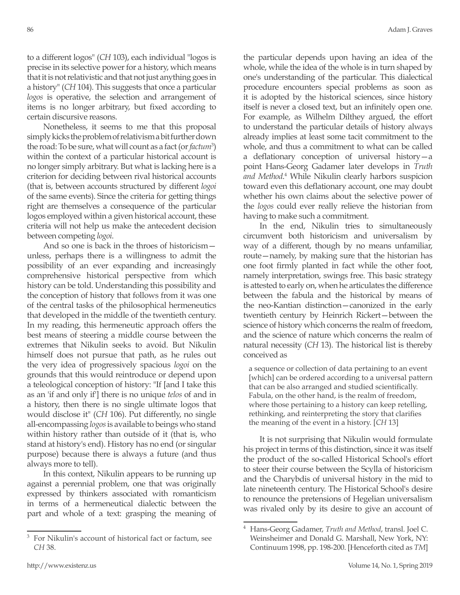to a different logos" (*CH* 103), each individual "logos is precise in its selective power for a history, which means that it is not relativistic and that not just anything goes in a history" (*CH* 104). This suggests that once a particular *logos* is operative, the selection and arrangement of items is no longer arbitrary, but fixed according to certain discursive reasons.

Nonetheless, it seems to me that this proposal simply kicks the problem of relativism a bit further down the road: To be sure, what will count as a fact (or *factum*<sup>3</sup>) within the context of a particular historical account is no longer simply arbitrary. But what is lacking here is a criterion for deciding between rival historical accounts (that is, between accounts structured by different *logoi*  of the same events). Since the criteria for getting things right are themselves a consequence of the particular logos employed within a given historical account, these criteria will not help us make the antecedent decision between competing *logoi*.

And so one is back in the throes of historicism unless, perhaps there is a willingness to admit the possibility of an ever expanding and increasingly comprehensive historical perspective from which history can be told. Understanding this possibility and the conception of history that follows from it was one of the central tasks of the philosophical hermeneutics that developed in the middle of the twentieth century. In my reading, this hermeneutic approach offers the best means of steering a middle course between the extremes that Nikulin seeks to avoid. But Nikulin himself does not pursue that path, as he rules out the very idea of progressively spacious *logoi* on the grounds that this would reintroduce or depend upon a teleological conception of history: "If [and I take this as an 'if and only if'] there is no unique *telos* of and in a history, then there is no single ultimate logos that would disclose it" (*CH* 106). Put differently, no single all-encompassing *logos* is available to beings who stand within history rather than outside of it (that is, who stand at history's end). History has no end (or singular purpose) because there is always a future (and thus always more to tell).

In this context, Nikulin appears to be running up against a perennial problem, one that was originally expressed by thinkers associated with romanticism in terms of a hermeneutical dialectic between the part and whole of a text: grasping the meaning of the particular depends upon having an idea of the whole, while the idea of the whole is in turn shaped by one's understanding of the particular. This dialectical procedure encounters special problems as soon as it is adopted by the historical sciences, since history itself is never a closed text, but an infinitely open one. For example, as Wilhelm Dilthey argued, the effort to understand the particular details of history always already implies at least some tacit commitment to the whole, and thus a commitment to what can be called a deflationary conception of universal history—a point Hans-Georg Gadamer later develops in *Truth*  and Method.<sup>4</sup> While Nikulin clearly harbors suspicion toward even this deflationary account, one may doubt whether his own claims about the selective power of the *logos* could ever really relieve the historian from having to make such a commitment.

In the end, Nikulin tries to simultaneously circumvent both historicism and universalism by way of a different, though by no means unfamiliar, route—namely, by making sure that the historian has one foot firmly planted in fact while the other foot, namely interpretation, swings free. This basic strategy is attested to early on, when he articulates the difference between the fabula and the historical by means of the neo-Kantian distinction—canonized in the early twentieth century by Heinrich Rickert—between the science of history which concerns the realm of freedom, and the science of nature which concerns the realm of natural necessity (*CH* 13). The historical list is thereby conceived as

a sequence or collection of data pertaining to an event [which] can be ordered according to a universal pattern that can be also arranged and studied scientifically. Fabula, on the other hand, is the realm of freedom, where those pertaining to a history can keep retelling, rethinking, and reinterpreting the story that clarifies the meaning of the event in a history. [*CH* 13]

It is not surprising that Nikulin would formulate his project in terms of this distinction, since it was itself the product of the so-called Historical School's effort to steer their course between the Scylla of historicism and the Charybdis of universal history in the mid to late nineteenth century. The Historical School's desire to renounce the pretensions of Hegelian universalism was rivaled only by its desire to give an account of

<sup>3</sup> For Nikulin's account of historical fact or factum, see *CH* 38.

<sup>4</sup> Hans-Georg Gadamer, *Truth and Method*, transl. Joel C. Weinsheimer and Donald G. Marshall, New York, NY: Continuum 1998, pp. 198-200. [Henceforth cited as *TM*]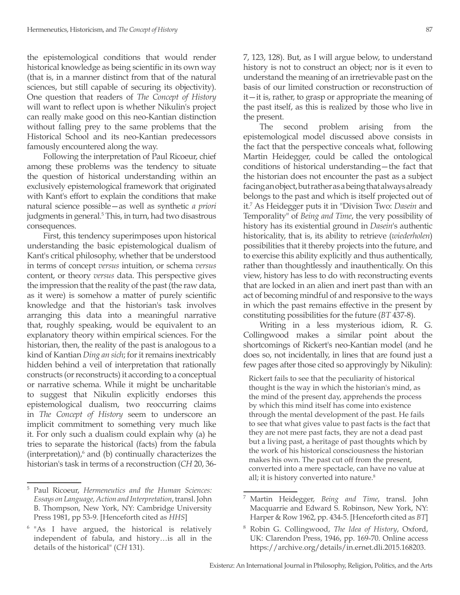the epistemological conditions that would render historical knowledge as being scientific in its own way (that is, in a manner distinct from that of the natural sciences, but still capable of securing its objectivity). One question that readers of *The Concept of History* will want to reflect upon is whether Nikulin's project can really make good on this neo-Kantian distinction without falling prey to the same problems that the Historical School and its neo-Kantian predecessors famously encountered along the way.

Following the interpretation of Paul Ricoeur, chief among these problems was the tendency to situate the question of historical understanding within an exclusively epistemological framework that originated with Kant's effort to explain the conditions that make natural science possible—as well as synthetic *a priori* judgments in general.<sup>5</sup> This, in turn, had two disastrous consequences.

First, this tendency superimposes upon historical understanding the basic epistemological dualism of Kant's critical philosophy, whether that be understood in terms of concept *versus* intuition, or schema *versus*  content, or theory *versus* data. This perspective gives the impression that the reality of the past (the raw data, as it were) is somehow a matter of purely scientific knowledge and that the historian's task involves arranging this data into a meaningful narrative that, roughly speaking, would be equivalent to an explanatory theory within empirical sciences. For the historian, then, the reality of the past is analogous to a kind of Kantian *Ding an sich*; for it remains inextricably hidden behind a veil of interpretation that rationally constructs (or reconstructs) it according to a conceptual or narrative schema. While it might be uncharitable to suggest that Nikulin explicitly endorses this epistemological dualism, two reoccurring claims in *The Concept of History* seem to underscore an implicit commitment to something very much like it. For only such a dualism could explain why (a) he tries to separate the historical (facts) from the fabula  $(interpretation)$ , $^6$  and  $(b)$  continually characterizes the historian's task in terms of a reconstruction (*CH* 20, 36-

<sup>5</sup> Paul Ricoeur, *Hermeneutics and the Human Sciences: Essays on Language, Action and Interpretation*, transl. John B. Thompson, New York, NY: Cambridge University Press 1981, pp 53-9. [Henceforth cited as *HHS*]

7, 123, 128). But, as I will argue below, to understand history is not to construct an object; nor is it even to understand the meaning of an irretrievable past on the basis of our limited construction or reconstruction of it—it is, rather, to grasp or appropriate the meaning of the past itself, as this is realized by those who live in the present.

The second problem arising from the epistemological model discussed above consists in the fact that the perspective conceals what, following Martin Heidegger, could be called the ontological conditions of historical understanding—the fact that the historian does not encounter the past as a subject facing an object, but rather as a being that always already belongs to the past and which is itself projected out of it.7 As Heidegger puts it in "Division Two: *Dasein* and Temporality" of *Being and Time*, the very possibility of history has its existential ground in *Dasein*'s authentic historicality, that is, its ability to retrieve (*wiederholen*) possibilities that it thereby projects into the future, and to exercise this ability explicitly and thus authentically, rather than thoughtlessly and inauthentically. On this view, history has less to do with reconstructing events that are locked in an alien and inert past than with an act of becoming mindful of and responsive to the ways in which the past remains effective in the present by constituting possibilities for the future (*BT* 437-8).

Writing in a less mysterious idiom, R. G. Collingwood makes a similar point about the shortcomings of Rickert's neo-Kantian model (and he does so, not incidentally, in lines that are found just a few pages after those cited so approvingly by Nikulin):

Rickert fails to see that the peculiarity of historical thought is the way in which the historian's mind, as the mind of the present day, apprehends the process by which this mind itself has come into existence through the mental development of the past. He fails to see that what gives value to past facts is the fact that they are not mere past facts, they are not a dead past but a living past, a heritage of past thoughts which by the work of his historical consciousness the historian makes his own. The past cut off from the present, converted into a mere spectacle, can have no value at all; it is history converted into nature.<sup>8</sup>

<sup>&</sup>lt;sup>6</sup> "As I have argued, the historical is relatively independent of fabula, and history…is all in the details of the historical" (*CH* 131).

<sup>7</sup> Martin Heidegger, *Being and Time*, transl. John Macquarrie and Edward S. Robinson, New York, NY: Harper & Row 1962, pp. 434-5. [Henceforth cited as *BT*]

<sup>8</sup> Robin G. Collingwood, *The Idea of History*, Oxford, UK: Clarendon Press, 1946, pp. 169-70. Online access https://archive.org/details/in.ernet.dli.2015.168203.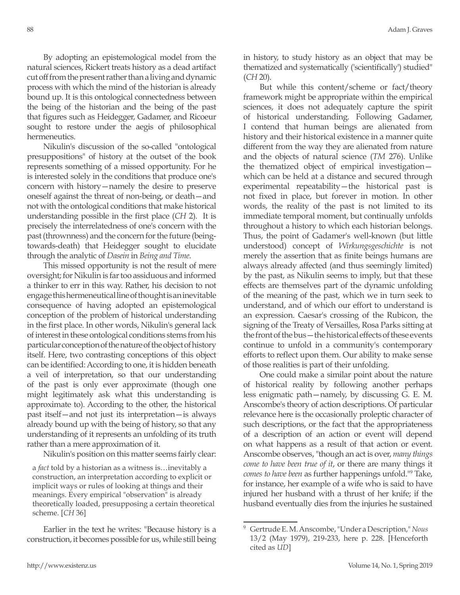By adopting an epistemological model from the natural sciences, Rickert treats history as a dead artifact cut off from the present rather than a living and dynamic process with which the mind of the historian is already bound up. It is this ontological connectedness between the being of the historian and the being of the past that figures such as Heidegger, Gadamer, and Ricoeur sought to restore under the aegis of philosophical hermeneutics.

Nikulin's discussion of the so-called "ontological presuppositions" of history at the outset of the book represents something of a missed opportunity. For he is interested solely in the conditions that produce one's concern with history—namely the desire to preserve oneself against the threat of non-being, or death—and not with the ontological conditions that make historical understanding possible in the first place (*CH* 2). It is precisely the interrelatedness of one's concern with the past (thrownness) and the concern for the future (beingtowards-death) that Heidegger sought to elucidate through the analytic of *Dasein* in *Being and Time*.

This missed opportunity is not the result of mere oversight; for Nikulin is far too assiduous and informed a thinker to err in this way. Rather, his decision to not engage this hermeneutical line of thought is an inevitable consequence of having adopted an epistemological conception of the problem of historical understanding in the first place. In other words, Nikulin's general lack of interest in these ontological conditions stems from his particular conception of the nature of the object of history itself. Here, two contrasting conceptions of this object can be identified: According to one, it is hidden beneath a veil of interpretation, so that our understanding of the past is only ever approximate (though one might legitimately ask what this understanding is approximate to). According to the other, the historical past itself—and not just its interpretation—is always already bound up with the being of history, so that any understanding of it represents an unfolding of its truth rather than a mere approximation of it.

Nikulin's position on this matter seems fairly clear:

a *fact* told by a historian as a witness is…inevitably a construction, an interpretation according to explicit or implicit ways or rules of looking at things and their meanings. Every empirical "observation" is already theoretically loaded, presupposing a certain theoretical scheme. [*CH* 36]

Earlier in the text he writes: "Because history is a construction, it becomes possible for us, while still being in history, to study history as an object that may be thematized and systematically ('scientifically') studied" (*CH* 20).

But while this content/scheme or fact/theory framework might be appropriate within the empirical sciences, it does not adequately capture the spirit of historical understanding. Following Gadamer, I contend that human beings are alienated from history and their historical existence in a manner quite different from the way they are alienated from nature and the objects of natural science (*TM* 276). Unlike the thematized object of empirical investigation which can be held at a distance and secured through experimental repeatability—the historical past is not fixed in place, but forever in motion. In other words, the reality of the past is not limited to its immediate temporal moment, but continually unfolds throughout a history to which each historian belongs. Thus, the point of Gadamer's well-known (but little understood) concept of *Wirkungsgeschichte* is not merely the assertion that as finite beings humans are always already affected (and thus seemingly limited) by the past, as Nikulin seems to imply, but that these effects are themselves part of the dynamic unfolding of the meaning of the past, which we in turn seek to understand, and of which our effort to understand is an expression. Caesar's crossing of the Rubicon, the signing of the Treaty of Versailles, Rosa Parks sitting at the front of the bus—the historical effects of these events continue to unfold in a community's contemporary efforts to reflect upon them. Our ability to make sense of those realities is part of their unfolding.

One could make a similar point about the nature of historical reality by following another perhaps less enigmatic path—namely, by discussing G. E. M. Anscombe's theory of action descriptions. Of particular relevance here is the occasionally proleptic character of such descriptions, or the fact that the appropriateness of a description of an action or event will depend on what happens as a result of that action or event. Anscombe observes, "though an act is over, *many things come to have been true of it*, or there are many things it *comes to have been* as further happenings unfold."9 Take, for instance, her example of a wife who is said to have injured her husband with a thrust of her knife; if the husband eventually dies from the injuries he sustained

<sup>9</sup> Gertrude E. M. Anscombe, "Under a Description," *Nous* 13/2 (May 1979), 219-233, here p. 228. [Henceforth cited as *UD*]